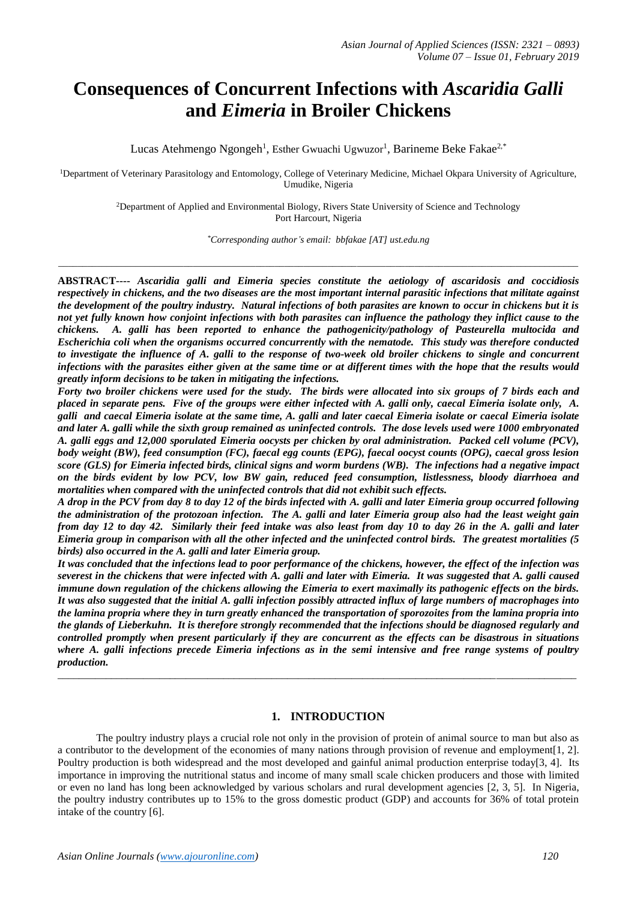# **Consequences of Concurrent Infections with** *Ascaridia Galli*  **and** *Eimeria* **in Broiler Chickens**

Lucas Atehmengo Ngongeh<sup>1</sup>, Esther Gwuachi Ugwuzor<sup>1</sup>, Barineme Beke Fakae<sup>2,\*</sup>

<sup>1</sup>Department of Veterinary Parasitology and Entomology, College of Veterinary Medicine, Michael Okpara University of Agriculture, Umudike, Nigeria

> <sup>2</sup>Department of Applied and Environmental Biology, Rivers State University of Science and Technology Port Harcourt, Nigeria

> > *\*Corresponding author's email: bbfakae [AT] ust.edu.ng*

*\_\_\_\_\_\_\_\_\_\_\_\_\_\_\_\_\_\_\_\_\_\_\_\_\_\_\_\_\_\_\_\_\_\_\_\_\_\_\_\_\_\_\_\_\_\_\_\_\_\_\_\_\_\_\_\_\_\_\_\_\_\_\_\_\_\_\_\_\_\_\_\_\_\_\_\_\_\_\_\_\_\_\_\_\_\_\_\_\_\_\_\_\_\_\_\_\_\_\_\_\_\_\_\_\_\_\_\_*

**ABSTRACT----** *Ascaridia galli and Eimeria species constitute the aetiology of ascaridosis and coccidiosis respectively in chickens, and the two diseases are the most important internal parasitic infections that militate against the development of the poultry industry. Natural infections of both parasites are known to occur in chickens but it is not yet fully known how conjoint infections with both parasites can influence the pathology they inflict cause to the chickens. A. galli has been reported to enhance the pathogenicity/pathology of Pasteurella multocida and Escherichia coli when the organisms occurred concurrently with the nematode. This study was therefore conducted to investigate the influence of A. galli to the response of two-week old broiler chickens to single and concurrent infections with the parasites either given at the same time or at different times with the hope that the results would greatly inform decisions to be taken in mitigating the infections.*

*Forty two broiler chickens were used for the study. The birds were allocated into six groups of 7 birds each and placed in separate pens. Five of the groups were either infected with A. galli only, caecal Eimeria isolate only, A. galli and caecal Eimeria isolate at the same time, A. galli and later caecal Eimeria isolate or caecal Eimeria isolate and later A. galli while the sixth group remained as uninfected controls. The dose levels used were 1000 embryonated A. galli eggs and 12,000 sporulated Eimeria oocysts per chicken by oral administration. Packed cell volume (PCV), body weight (BW), feed consumption (FC), faecal egg counts (EPG), faecal oocyst counts (OPG), caecal gross lesion score (GLS) for Eimeria infected birds, clinical signs and worm burdens (WB). The infections had a negative impact on the birds evident by low PCV, low BW gain, reduced feed consumption, listlessness, bloody diarrhoea and mortalities when compared with the uninfected controls that did not exhibit such effects.* 

*A drop in the PCV from day 8 to day 12 of the birds infected with A. galli and later Eimeria group occurred following the administration of the protozoan infection. The A. galli and later Eimeria group also had the least weight gain from day 12 to day 42. Similarly their feed intake was also least from day 10 to day 26 in the A. galli and later Eimeria group in comparison with all the other infected and the uninfected control birds. The greatest mortalities (5 birds) also occurred in the A. galli and later Eimeria group.* 

*It was concluded that the infections lead to poor performance of the chickens, however, the effect of the infection was severest in the chickens that were infected with A. galli and later with Eimeria. It was suggested that A. galli caused immune down regulation of the chickens allowing the Eimeria to exert maximally its pathogenic effects on the birds. It was also suggested that the initial A. galli infection possibly attracted influx of large numbers of macrophages into the lamina propria where they in turn greatly enhanced the transportation of sporozoites from the lamina propria into the glands of Lieberkuhn. It is therefore strongly recommended that the infections should be diagnosed regularly and controlled promptly when present particularly if they are concurrent as the effects can be disastrous in situations where A. galli infections precede Eimeria infections as in the semi intensive and free range systems of poultry production.*  $\_$  ,  $\_$  ,  $\_$  ,  $\_$  ,  $\_$  ,  $\_$  ,  $\_$  ,  $\_$  ,  $\_$  ,  $\_$  ,  $\_$  ,  $\_$  ,  $\_$  ,  $\_$  ,  $\_$  ,  $\_$  ,  $\_$  ,  $\_$  ,  $\_$  ,  $\_$  ,  $\_$  ,  $\_$  ,  $\_$  ,  $\_$  ,  $\_$  ,  $\_$  ,  $\_$  ,  $\_$  ,  $\_$  ,  $\_$  ,  $\_$  ,  $\_$  ,  $\_$  ,  $\_$  ,  $\_$  ,  $\_$  ,  $\_$  ,

# **1. INTRODUCTION**

The poultry industry plays a crucial role not only in the provision of protein of animal source to man but also as a contributor to the development of the economies of many nations through provision of revenue and employment[1, 2]. Poultry production is both widespread and the most developed and gainful animal production enterprise today[3, 4]. Its importance in improving the nutritional status and income of many small scale chicken producers and those with limited or even no land has long been acknowledged by various scholars and rural development agencies [2, 3, 5]. In Nigeria, the poultry industry contributes up to 15% to the gross domestic product (GDP) and accounts for 36% of total protein intake of the country [6].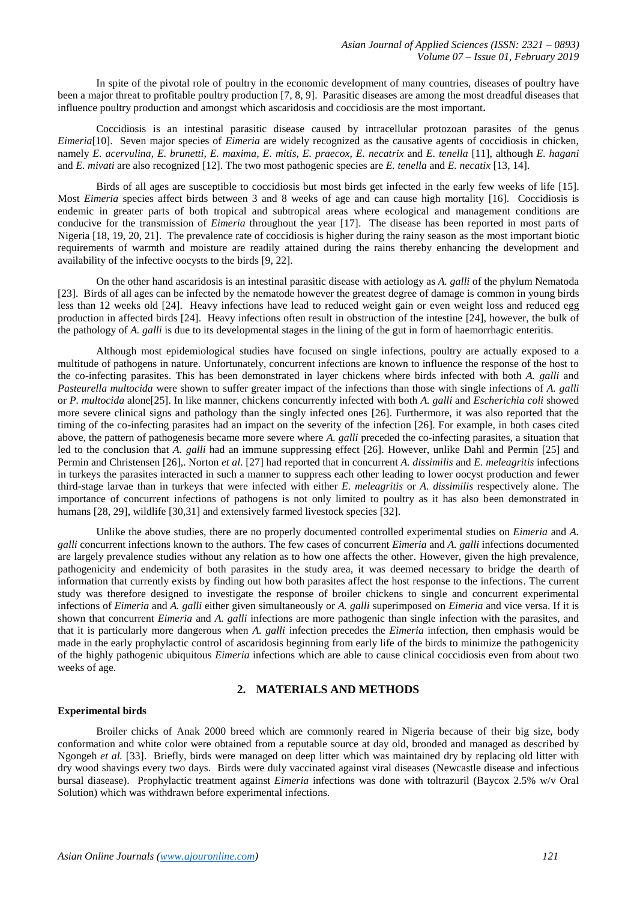In spite of the pivotal role of poultry in the economic development of many countries, diseases of poultry have been a major threat to profitable poultry production [7, 8, 9]. Parasitic diseases are among the most dreadful diseases that influence poultry production and amongst which ascaridosis and coccidiosis are the most important**.**

Coccidiosis is an intestinal parasitic disease caused by intracellular protozoan parasites of the genus *Eimeria*[10]. Seven major species of *Eimeria* are widely recognized as the causative agents of coccidiosis in chicken, namely *E. acervulina, E. brunetti, E. maxima, E. mitis, E. praecox, E. necatrix* and *E. tenella* [11], although *E. hagani* and *E. mivati* are also recognized [12]. The two most pathogenic species are *E. tenella* and *E. necatix* [13, 14].

Birds of all ages are susceptible to coccidiosis but most birds get infected in the early few weeks of life [15]. Most *Eimeria* species affect birds between 3 and 8 weeks of age and can cause high mortality [16]. Coccidiosis is endemic in greater parts of both tropical and subtropical areas where ecological and management conditions are conducive for the transmission of *Eimeria* throughout the year [17]. The disease has been reported in most parts of Nigeria [18, 19, 20, 21]. The prevalence rate of coccidiosis is higher during the rainy season as the most important biotic requirements of warmth and moisture are readily attained during the rains thereby enhancing the development and availability of the infective oocysts to the birds [9, 22].

On the other hand ascaridosis is an intestinal parasitic disease with aetiology as *A. galli* of the phylum Nematoda [23]. Birds of all ages can be infected by the nematode however the greatest degree of damage is common in young birds less than 12 weeks old [24]. Heavy infections have lead to reduced weight gain or even weight loss and reduced egg production in affected birds [24]. Heavy infections often result in obstruction of the intestine [24], however, the bulk of the pathology of *A. galli* is due to its developmental stages in the lining of the gut in form of haemorrhagic enteritis.

Although most epidemiological studies have focused on single infections, poultry are actually exposed to a multitude of pathogens in nature. Unfortunately, concurrent infections are known to influence the response of the host to the co-infecting parasites. This has been demonstrated in layer chickens where birds infected with both *A. galli* and *Pasteurella multocida* were shown to suffer greater impact of the infections than those with single infections of *A. galli* or *P. multocida* alone[25]. In like manner, chickens concurrently infected with both *A. galli* and *Escherichia coli* showed more severe clinical signs and pathology than the singly infected ones [26]. Furthermore, it was also reported that the timing of the co-infecting parasites had an impact on the severity of the infection [26]. For example, in both cases cited above, the pattern of pathogenesis became more severe where *A. galli* preceded the co-infecting parasites, a situation that led to the conclusion that *A. galli* had an immune suppressing effect [26]. However, unlike Dahl and Permin [25] and Permin and Christensen [26],. Norton *et al.* [27] had reported that in concurrent *A. dissimilis* and *E. meleagritis* infections in turkeys the parasites interacted in such a manner to suppress each other leading to lower oocyst production and fewer third-stage larvae than in turkeys that were infected with either *E. meleagritis* or *A. dissimilis* respectively alone. The importance of concurrent infections of pathogens is not only limited to poultry as it has also been demonstrated in humans [28, 29], wildlife [30,31] and extensively farmed livestock species [32].

Unlike the above studies, there are no properly documented controlled experimental studies on *Eimeria* and *A. galli* concurrent infections known to the authors. The few cases of concurrent *Eimeria* and *A. galli* infections documented are largely prevalence studies without any relation as to how one affects the other. However, given the high prevalence, pathogenicity and endemicity of both parasites in the study area, it was deemed necessary to bridge the dearth of information that currently exists by finding out how both parasites affect the host response to the infections. The current study was therefore designed to investigate the response of broiler chickens to single and concurrent experimental infections of *Eimeria* and *A. galli* either given simultaneously or *A. galli* superimposed on *Eimeria* and vice versa. If it is shown that concurrent *Eimeria* and *A. galli* infections are more pathogenic than single infection with the parasites, and that it is particularly more dangerous when *A. galli* infection precedes the *Eimeria* infection, then emphasis would be made in the early prophylactic control of ascaridosis beginning from early life of the birds to minimize the pathogenicity of the highly pathogenic ubiquitous *Eimeria* infections which are able to cause clinical coccidiosis even from about two weeks of age.

# **2. MATERIALS AND METHODS**

## **Experimental birds**

Broiler chicks of Anak 2000 breed which are commonly reared in Nigeria because of their big size, body conformation and white color were obtained from a reputable source at day old, brooded and managed as described by Ngongeh *et al.* [33]. Briefly, birds were managed on deep litter which was maintained dry by replacing old litter with dry wood shavings every two days. Birds were duly vaccinated against viral diseases (Newcastle disease and infectious bursal diasease). Prophylactic treatment against *Eimeria* infections was done with toltrazuril (Baycox 2.5% w/v Oral Solution) which was withdrawn before experimental infections.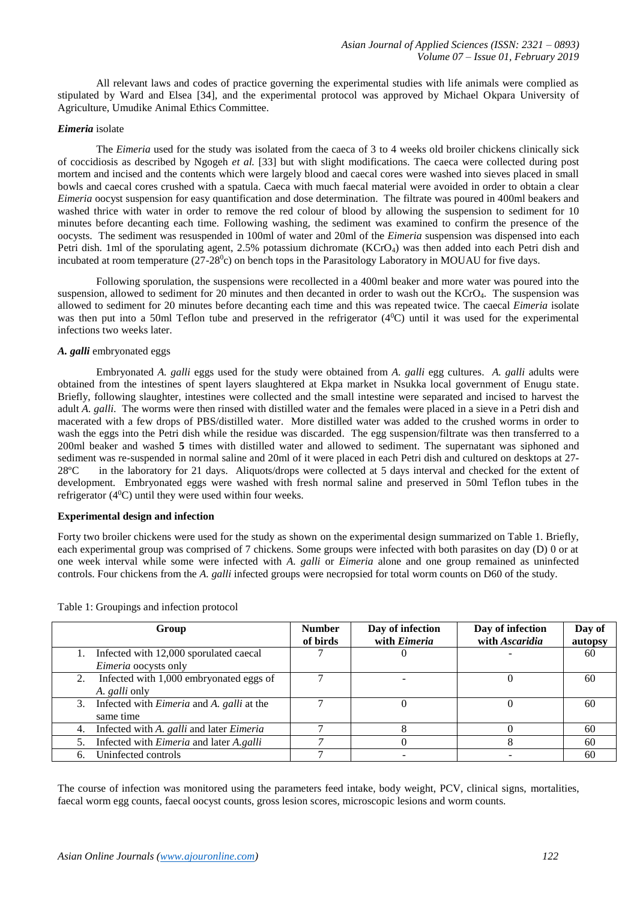All relevant laws and codes of practice governing the experimental studies with life animals were complied as stipulated by Ward and Elsea [34], and the experimental protocol was approved by Michael Okpara University of Agriculture, Umudike Animal Ethics Committee.

# *Eimeria* isolate

The *Eimeria* used for the study was isolated from the caeca of 3 to 4 weeks old broiler chickens clinically sick of coccidiosis as described by Ngogeh *et al.* [33] but with slight modifications. The caeca were collected during post mortem and incised and the contents which were largely blood and caecal cores were washed into sieves placed in small bowls and caecal cores crushed with a spatula. Caeca with much faecal material were avoided in order to obtain a clear *Eimeria* oocyst suspension for easy quantification and dose determination. The filtrate was poured in 400ml beakers and washed thrice with water in order to remove the red colour of blood by allowing the suspension to sediment for 10 minutes before decanting each time. Following washing, the sediment was examined to confirm the presence of the oocysts. The sediment was resuspended in 100ml of water and 20ml of the *Eimeria* suspension was dispensed into each Petri dish. 1ml of the sporulating agent, 2.5% potassium dichromate (KCrO4) was then added into each Petri dish and incubated at room temperature  $(27-28^{\circ}\text{c})$  on bench tops in the Parasitology Laboratory in MOUAU for five days.

Following sporulation, the suspensions were recollected in a 400ml beaker and more water was poured into the suspension, allowed to sediment for 20 minutes and then decanted in order to wash out the KCrO4. The suspension was allowed to sediment for 20 minutes before decanting each time and this was repeated twice. The caecal *Eimeria* isolate was then put into a 50ml Teflon tube and preserved in the refrigerator (4<sup>0</sup>C) until it was used for the experimental infections two weeks later.

# *A. galli* embryonated eggs

Embryonated *A. galli* eggs used for the study were obtained from *A. galli* egg cultures. *A. galli* adults were obtained from the intestines of spent layers slaughtered at Ekpa market in Nsukka local government of Enugu state. Briefly, following slaughter, intestines were collected and the small intestine were separated and incised to harvest the adult *A. galli*. The worms were then rinsed with distilled water and the females were placed in a sieve in a Petri dish and macerated with a few drops of PBS/distilled water. More distilled water was added to the crushed worms in order to wash the eggs into the Petri dish while the residue was discarded. The egg suspension/filtrate was then transferred to a 200ml beaker and washed **5** times with distilled water and allowed to sediment. The supernatant was siphoned and sediment was re-suspended in normal saline and 20ml of it were placed in each Petri dish and cultured on desktops at 27- 28ºC in the laboratory for 21 days. Aliquots/drops were collected at 5 days interval and checked for the extent of development. Embryonated eggs were washed with fresh normal saline and preserved in 50ml Teflon tubes in the refrigerator  $(4^0C)$  until they were used within four weeks.

## **Experimental design and infection**

Forty two broiler chickens were used for the study as shown on the experimental design summarized on Table 1. Briefly, each experimental group was comprised of 7 chickens. Some groups were infected with both parasites on day (D) 0 or at one week interval while some were infected with *A. galli* or *Eimeria* alone and one group remained as uninfected controls. Four chickens from the *A. galli* infected groups were necropsied for total worm counts on D60 of the study.

|    | Group                                                              | <b>Number</b> | Day of infection    | Day of infection | Day of  |
|----|--------------------------------------------------------------------|---------------|---------------------|------------------|---------|
|    |                                                                    | of birds      | with <i>Eimeria</i> | with Ascaridia   | autopsy |
|    | Infected with 12,000 sporulated caecal                             |               |                     |                  | 60      |
|    | <i>Eimeria</i> oocysts only                                        |               |                     |                  |         |
|    | Infected with 1,000 embryonated eggs of                            |               |                     |                  | 60      |
|    | A. <i>galli</i> only                                               |               |                     |                  |         |
|    | 3. Infected with <i>Eimeria</i> and <i>A</i> . <i>galli</i> at the |               |                     |                  | 60      |
|    | same time                                                          |               |                     |                  |         |
| 4. | Infected with A. galli and later Eimeria                           |               |                     |                  | 60      |
| 5. | Infected with <i>Eimeria</i> and later A.galli                     |               |                     |                  | 60      |
|    | Uninfected controls                                                |               |                     |                  | 60      |

Table 1: Groupings and infection protocol

The course of infection was monitored using the parameters feed intake, body weight, PCV, clinical signs, mortalities, faecal worm egg counts, faecal oocyst counts, gross lesion scores, microscopic lesions and worm counts.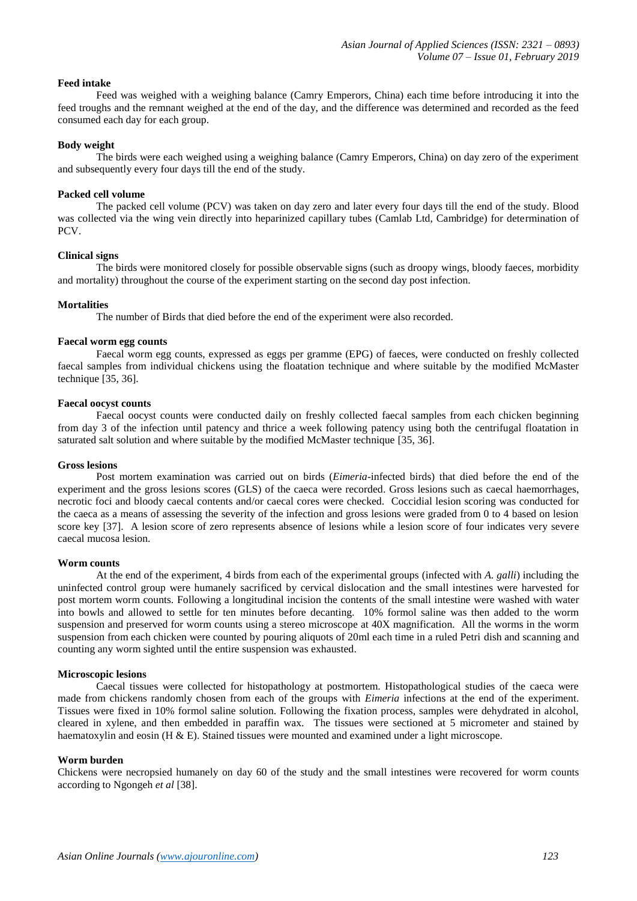## **Feed intake**

Feed was weighed with a weighing balance (Camry Emperors, China) each time before introducing it into the feed troughs and the remnant weighed at the end of the day, and the difference was determined and recorded as the feed consumed each day for each group.

## **Body weight**

The birds were each weighed using a weighing balance (Camry Emperors, China) on day zero of the experiment and subsequently every four days till the end of the study.

## **Packed cell volume**

The packed cell volume (PCV) was taken on day zero and later every four days till the end of the study. Blood was collected via the wing vein directly into heparinized capillary tubes (Camlab Ltd, Cambridge) for determination of PCV.

# **Clinical signs**

The birds were monitored closely for possible observable signs (such as droopy wings, bloody faeces, morbidity and mortality) throughout the course of the experiment starting on the second day post infection.

#### **Mortalities**

The number of Birds that died before the end of the experiment were also recorded.

#### **Faecal worm egg counts**

Faecal worm egg counts, expressed as eggs per gramme (EPG) of faeces, were conducted on freshly collected faecal samples from individual chickens using the floatation technique and where suitable by the modified McMaster technique [35, 36].

# **Faecal oocyst counts**

Faecal oocyst counts were conducted daily on freshly collected faecal samples from each chicken beginning from day 3 of the infection until patency and thrice a week following patency using both the centrifugal floatation in saturated salt solution and where suitable by the modified McMaster technique [35, 36].

#### **Gross lesions**

Post mortem examination was carried out on birds (*Eimeria*-infected birds) that died before the end of the experiment and the gross lesions scores (GLS) of the caeca were recorded. Gross lesions such as caecal haemorrhages, necrotic foci and bloody caecal contents and/or caecal cores were checked. Coccidial lesion scoring was conducted for the caeca as a means of assessing the severity of the infection and gross lesions were graded from 0 to 4 based on lesion score key [37]. A lesion score of zero represents absence of lesions while a lesion score of four indicates very severe caecal mucosa lesion.

#### **Worm counts**

At the end of the experiment, 4 birds from each of the experimental groups (infected with *A. galli*) including the uninfected control group were humanely sacrificed by cervical dislocation and the small intestines were harvested for post mortem worm counts. Following a longitudinal incision the contents of the small intestine were washed with water into bowls and allowed to settle for ten minutes before decanting. 10% formol saline was then added to the worm suspension and preserved for worm counts using a stereo microscope at 40X magnification. All the worms in the worm suspension from each chicken were counted by pouring aliquots of 20ml each time in a ruled Petri dish and scanning and counting any worm sighted until the entire suspension was exhausted.

#### **Microscopic lesions**

Caecal tissues were collected for histopathology at postmortem. Histopathological studies of the caeca were made from chickens randomly chosen from each of the groups with *Eimeria* infections at the end of the experiment. Tissues were fixed in 10% formol saline solution. Following the fixation process, samples were dehydrated in alcohol, cleared in xylene, and then embedded in paraffin wax. The tissues were sectioned at 5 micrometer and stained by haematoxylin and eosin (H & E). Stained tissues were mounted and examined under a light microscope.

#### **Worm burden**

Chickens were necropsied humanely on day 60 of the study and the small intestines were recovered for worm counts according to Ngongeh *et al* [38].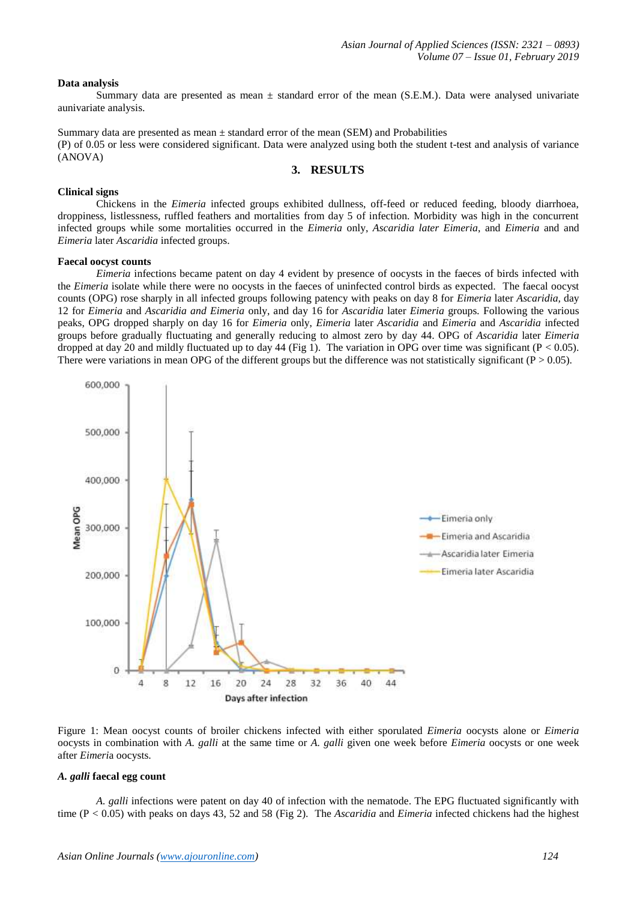## **Data analysis**

Summary data are presented as mean  $\pm$  standard error of the mean (S.E.M.). Data were analysed univariate aunivariate analysis.

Summary data are presented as mean  $\pm$  standard error of the mean (SEM) and Probabilities (P) of 0.05 or less were considered significant. Data were analyzed using both the student t-test and analysis of variance (ANOVA)

# **3. RESULTS**

## **Clinical signs**

Chickens in the *Eimeria* infected groups exhibited dullness, off-feed or reduced feeding, bloody diarrhoea, droppiness, listlessness, ruffled feathers and mortalities from day 5 of infection. Morbidity was high in the concurrent infected groups while some mortalities occurred in the *Eimeria* only, *Ascaridia later Eimeria*, and *Eimeria* and and *Eimeria* later *Ascaridia* infected groups.

## **Faecal oocyst counts**

*Eimeria* infections became patent on day 4 evident by presence of oocysts in the faeces of birds infected with the *Eimeria* isolate while there were no oocysts in the faeces of uninfected control birds as expected. The faecal oocyst counts (OPG) rose sharply in all infected groups following patency with peaks on day 8 for *Eimeria* later *Ascaridia,* day 12 for *Eimeria* and *Ascaridia and Eimeria* only, and day 16 for *Ascaridia* later *Eimeria* groups*.* Following the various peaks, OPG dropped sharply on day 16 for *Eimeria* only, *Eimeria* later *Ascaridia* and *Eimeria* and *Ascaridia* infected groups before gradually fluctuating and generally reducing to almost zero by day 44. OPG of *Ascaridia* later *Eimeria*  dropped at day 20 and mildly fluctuated up to day 44 (Fig 1). The variation in OPG over time was significant (P < 0.05). There were variations in mean OPG of the different groups but the difference was not statistically significant ( $P > 0.05$ ).



Figure 1: Mean oocyst counts of broiler chickens infected with either sporulated *Eimeria* oocysts alone or *Eimeria* oocysts in combination with *A. galli* at the same time or *A. galli* given one week before *Eimeria* oocysts or one week after *Eimeri*a oocysts.

## *A. galli* **faecal egg count**

*A. galli* infections were patent on day 40 of infection with the nematode. The EPG fluctuated significantly with time (P < 0.05) with peaks on days 43, 52 and 58 (Fig 2). The *Ascaridia* and *Eimeria* infected chickens had the highest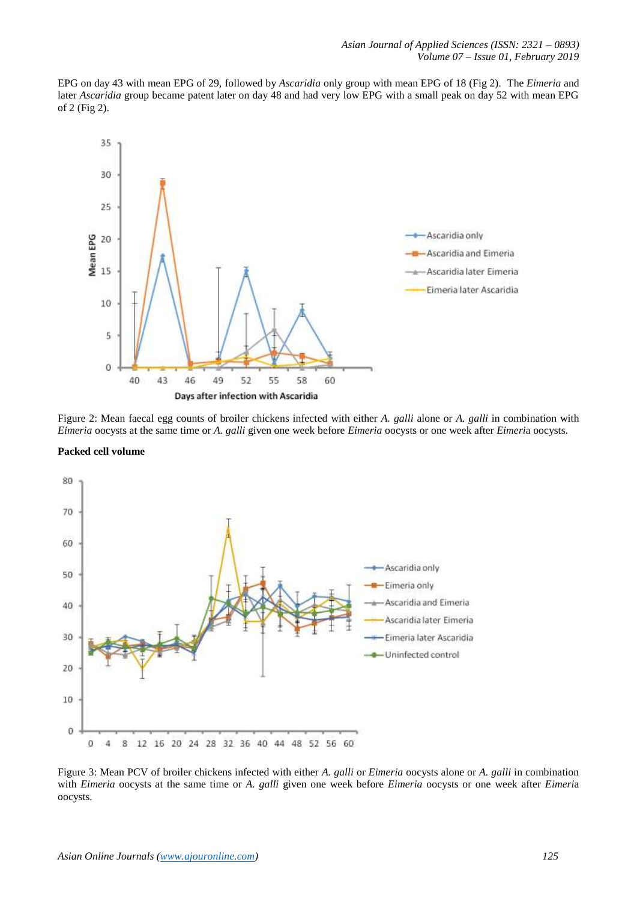EPG on day 43 with mean EPG of 29, followed by *Ascaridia* only group with mean EPG of 18 (Fig 2). The *Eimeria* and later *Ascaridia* group became patent later on day 48 and had very low EPG with a small peak on day 52 with mean EPG of 2 (Fig 2).



Figure 2: Mean faecal egg counts of broiler chickens infected with either *A. galli* alone or *A. galli* in combination with *Eimeria* oocysts at the same time or *A. galli* given one week before *Eimeria* oocysts or one week after *Eimeri*a oocysts.





Figure 3: Mean PCV of broiler chickens infected with either *A. galli* or *Eimeria* oocysts alone or *A. galli* in combination with *Eimeria* oocysts at the same time or *A. galli* given one week before *Eimeria* oocysts or one week after *Eimeri*a oocysts.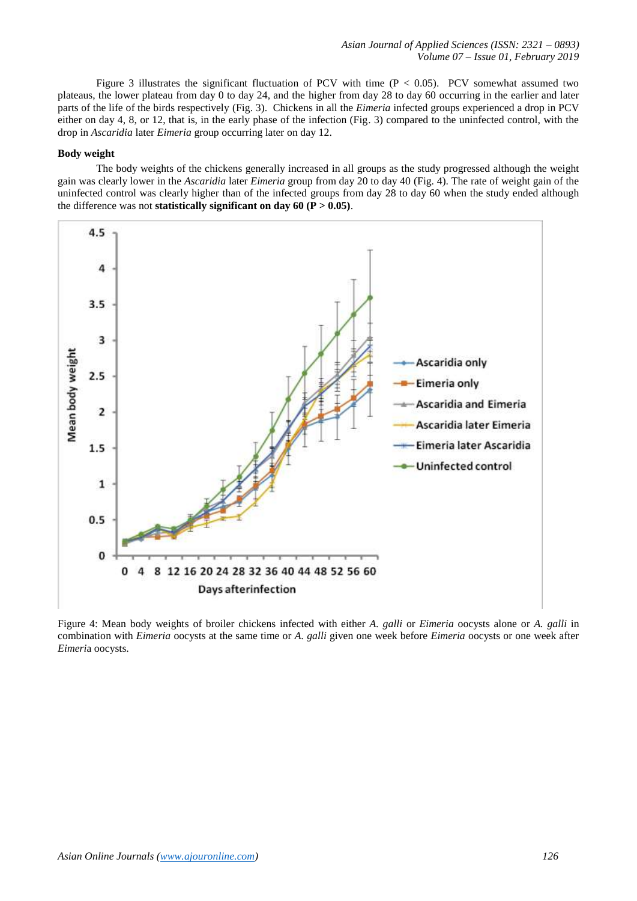Figure 3 illustrates the significant fluctuation of PCV with time  $(P < 0.05)$ . PCV somewhat assumed two plateaus, the lower plateau from day 0 to day 24, and the higher from day 28 to day 60 occurring in the earlier and later parts of the life of the birds respectively (Fig. 3). Chickens in all the *Eimeria* infected groups experienced a drop in PCV either on day 4, 8, or 12, that is, in the early phase of the infection (Fig. 3) compared to the uninfected control, with the drop in *Ascaridia* later *Eimeria* group occurring later on day 12.

# **Body weight**

The body weights of the chickens generally increased in all groups as the study progressed although the weight gain was clearly lower in the *Ascaridia* later *Eimeria* group from day 20 to day 40 (Fig. 4). The rate of weight gain of the uninfected control was clearly higher than of the infected groups from day 28 to day 60 when the study ended although the difference was not **statistically significant on day 60 (** $\overline{P} > 0.05$ **)**.



Figure 4: Mean body weights of broiler chickens infected with either *A. galli* or *Eimeria* oocysts alone or *A. galli* in combination with *Eimeria* oocysts at the same time or *A. galli* given one week before *Eimeria* oocysts or one week after *Eimeri*a oocysts.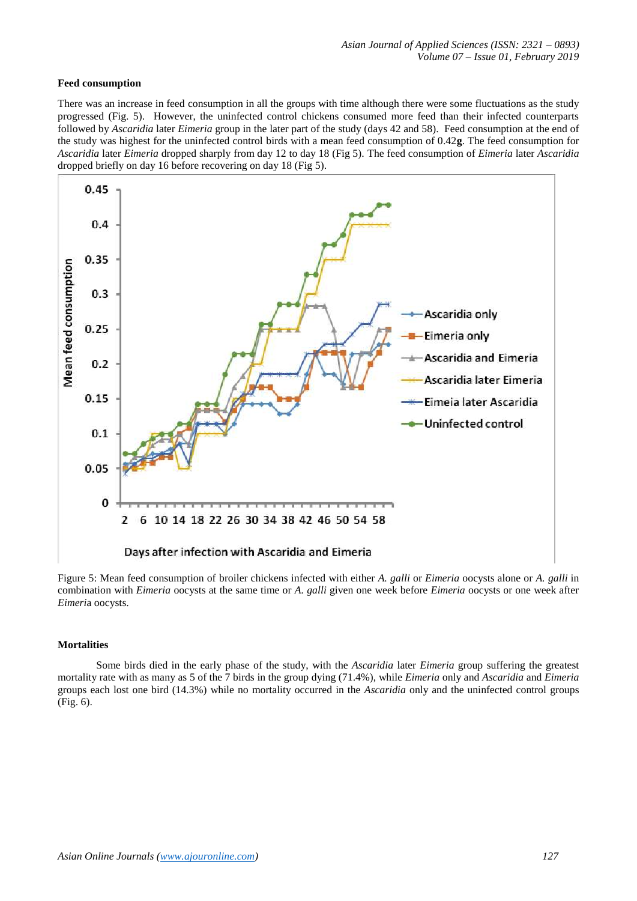# **Feed consumption**

There was an increase in feed consumption in all the groups with time although there were some fluctuations as the study progressed (Fig. 5). However, the uninfected control chickens consumed more feed than their infected counterparts followed by *Ascaridia* later *Eimeria* group in the later part of the study (days 42 and 58). Feed consumption at the end of the study was highest for the uninfected control birds with a mean feed consumption of 0.42**g**. The feed consumption for *Ascaridia* later *Eimeria* dropped sharply from day 12 to day 18 (Fig 5). The feed consumption of *Eimeria* later *Ascaridia* dropped briefly on day 16 before recovering on day 18 (Fig 5).



Figure 5: Mean feed consumption of broiler chickens infected with either *A. galli* or *Eimeria* oocysts alone or *A. galli* in combination with *Eimeria* oocysts at the same time or *A. galli* given one week before *Eimeria* oocysts or one week after *Eimeri*a oocysts.

## **Mortalities**

Some birds died in the early phase of the study, with the *Ascaridia* later *Eimeria* group suffering the greatest mortality rate with as many as 5 of the 7 birds in the group dying (71.4%), while *Eimeria* only and *Ascaridia* and *Eimeria* groups each lost one bird (14.3%) while no mortality occurred in the *Ascaridia* only and the uninfected control groups (Fig. 6).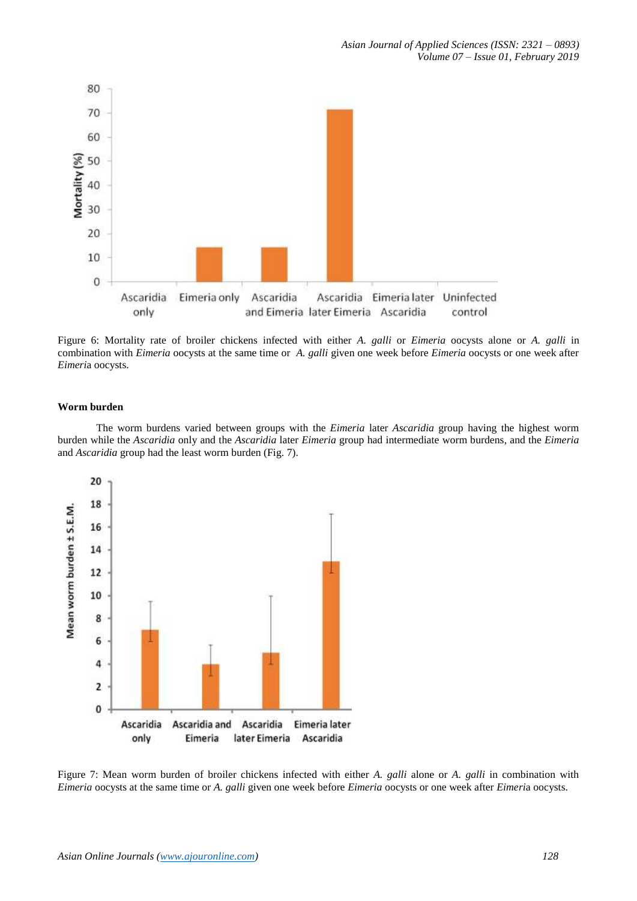

Figure 6: Mortality rate of broiler chickens infected with either *A. galli* or *Eimeria* oocysts alone or *A. galli* in combination with *Eimeria* oocysts at the same time or *A. galli* given one week before *Eimeria* oocysts or one week after *Eimeri*a oocysts.

# **Worm burden**

The worm burdens varied between groups with the *Eimeria* later *Ascaridia* group having the highest worm burden while the *Ascaridia* only and the *Ascaridia* later *Eimeria* group had intermediate worm burdens, and the *Eimeria*  and *Ascaridia* group had the least worm burden (Fig. 7).



Figure 7: Mean worm burden of broiler chickens infected with either *A. galli* alone or *A. galli* in combination with *Eimeria* oocysts at the same time or *A. galli* given one week before *Eimeria* oocysts or one week after *Eimeri*a oocysts.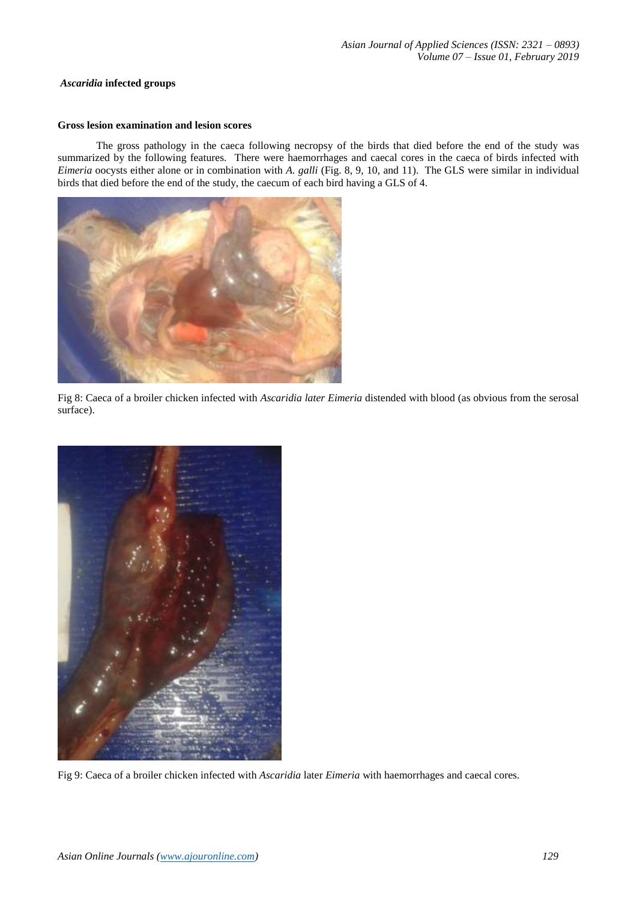## *Ascaridia* **infected groups**

# **Gross lesion examination and lesion scores**

The gross pathology in the caeca following necropsy of the birds that died before the end of the study was summarized by the following features. There were haemorrhages and caecal cores in the caeca of birds infected with *Eimeria* oocysts either alone or in combination with *A. galli* (Fig. 8, 9, 10, and 11). The GLS were similar in individual birds that died before the end of the study, the caecum of each bird having a GLS of 4.



Fig 8: Caeca of a broiler chicken infected with *Ascaridia later Eimeria* distended with blood (as obvious from the serosal surface).



Fig 9: Caeca of a broiler chicken infected with *Ascaridia* later *Eimeria* with haemorrhages and caecal cores.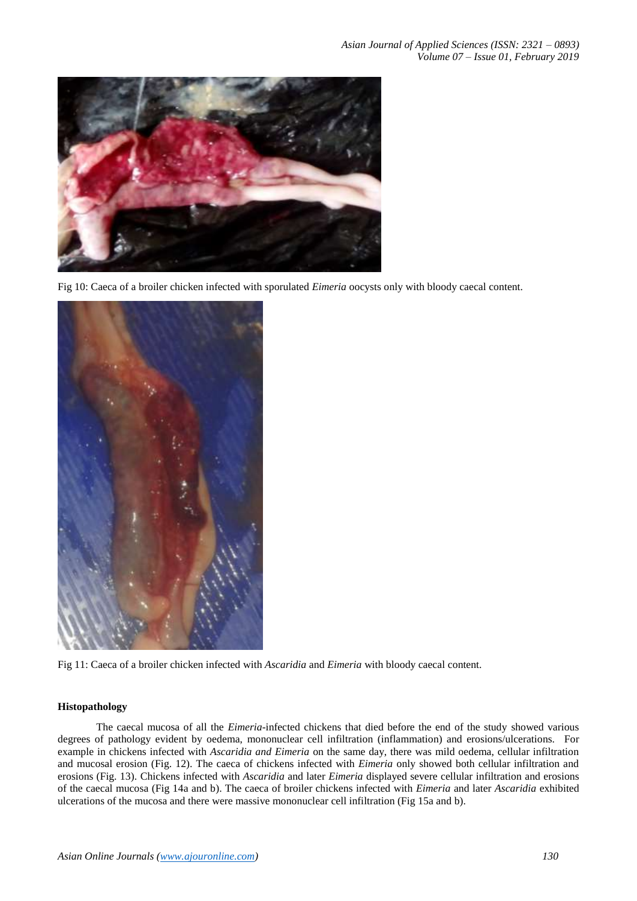

Fig 10: Caeca of a broiler chicken infected with sporulated *Eimeria* oocysts only with bloody caecal content.



Fig 11: Caeca of a broiler chicken infected with *Ascaridia* and *Eimeria* with bloody caecal content.

# **Histopathology**

The caecal mucosa of all the *Eimeria*-infected chickens that died before the end of the study showed various degrees of pathology evident by oedema, mononuclear cell infiltration (inflammation) and erosions/ulcerations. For example in chickens infected with *Ascaridia and Eimeria* on the same day, there was mild oedema, cellular infiltration and mucosal erosion (Fig. 12). The caeca of chickens infected with *Eimeria* only showed both cellular infiltration and erosions (Fig. 13). Chickens infected with *Ascaridia* and later *Eimeria* displayed severe cellular infiltration and erosions of the caecal mucosa (Fig 14a and b). The caeca of broiler chickens infected with *Eimeria* and later *Ascaridia* exhibited ulcerations of the mucosa and there were massive mononuclear cell infiltration (Fig 15a and b).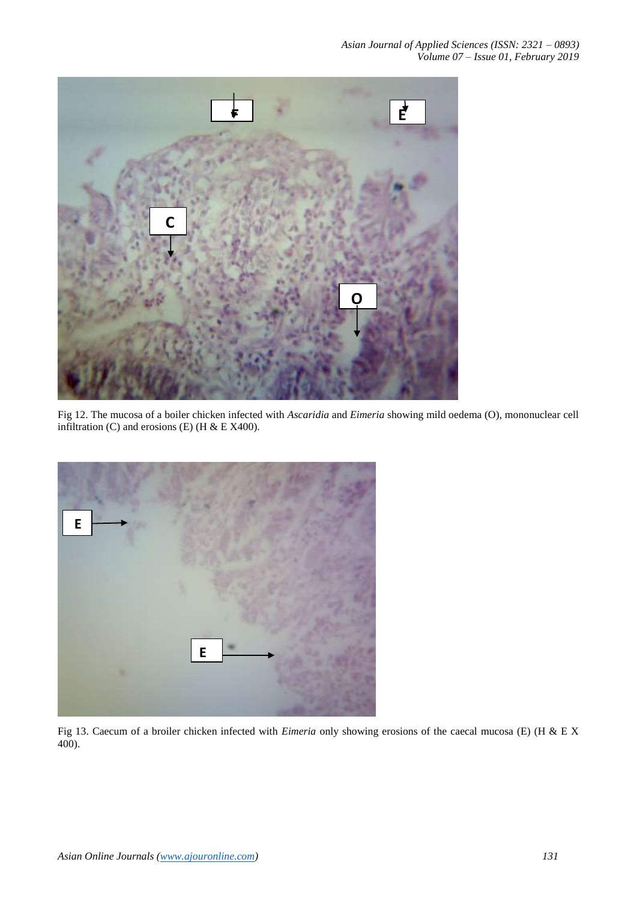

Fig 12. The mucosa of a boiler chicken infected with *Ascaridia* and *Eimeria* showing mild oedema (O), mononuclear cell infiltration (C) and erosions (E) (H & E X400).



Fig 13. Caecum of a broiler chicken infected with *Eimeria* only showing erosions of the caecal mucosa (E) (H & E X **B**  $400$ ).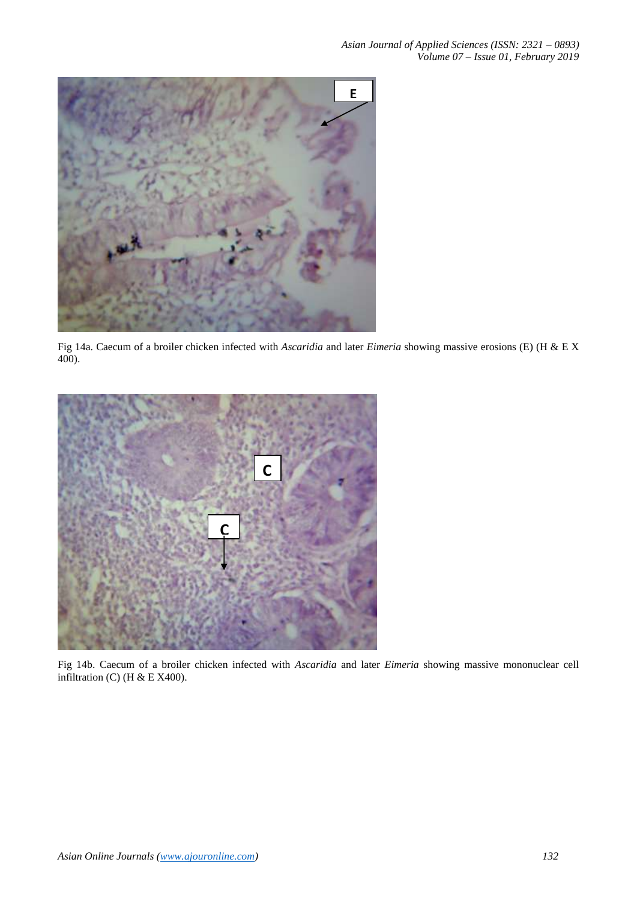

Fig 14a. Caecum of a broiler chicken infected with *Ascaridia* and later *Eimeria* showing massive erosions (E) (H & E X 400).



Fig 14b. Caecum of a broiler chicken infected with *Ascaridia* and later *Eimeria* showing massive mononuclear cell infiltration (C) (H & E X400).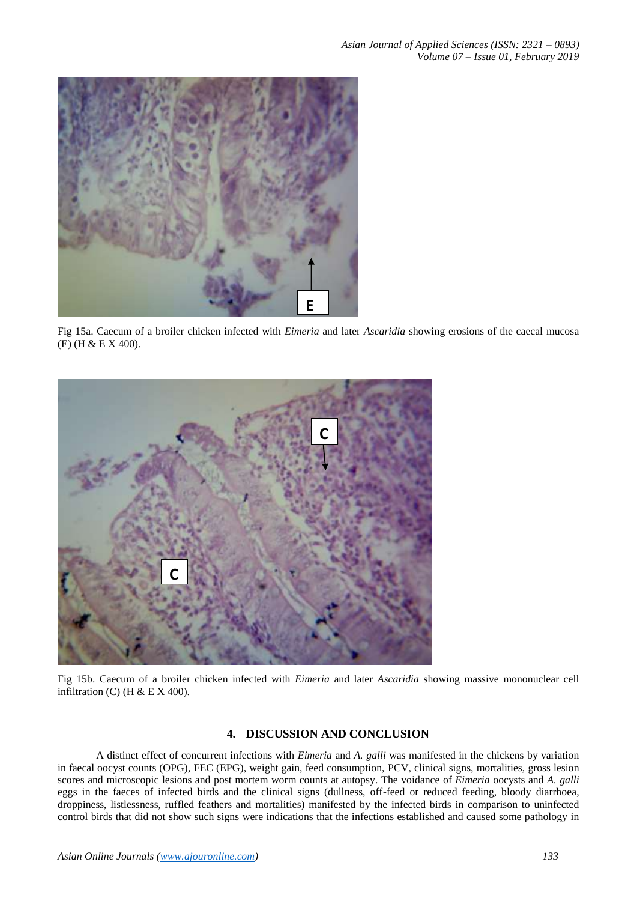

Fig 15a. Caecum of a broiler chicken infected with *Eimeria* and later *Ascaridia* showing erosions of the caecal mucosa (E) (H & E X 400).



Fig 15b. Caecum of a broiler chicken infected with *Eimeria* and later *Ascaridia* showing massive mononuclear cell infiltration (C) (H  $& E X 400$ ).

# **4. DISCUSSION AND CONCLUSION**

A distinct effect of concurrent infections with *Eimeria* and *A. galli* was manifested in the chickens by variation in faecal oocyst counts (OPG), FEC (EPG), weight gain, feed consumption, PCV, clinical signs, mortalities, gross lesion scores and microscopic lesions and post mortem worm counts at autopsy. The voidance of *Eimeria* oocysts and *A. galli* eggs in the faeces of infected birds and the clinical signs (dullness, off-feed or reduced feeding, bloody diarrhoea, droppiness, listlessness, ruffled feathers and mortalities) manifested by the infected birds in comparison to uninfected control birds that did not show such signs were indications that the infections established and caused some pathology in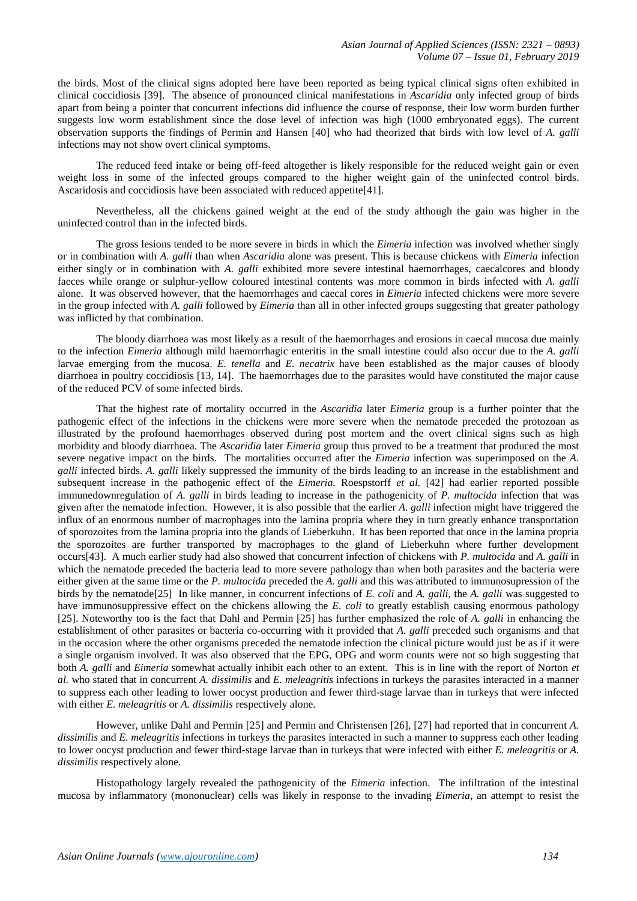the birds. Most of the clinical signs adopted here have been reported as being typical clinical signs often exhibited in clinical coccidiosis [39]. The absence of pronounced clinical manifestations in *Ascaridia* only infected group of birds apart from being a pointer that concurrent infections did influence the course of response, their low worm burden further suggests low worm establishment since the dose level of infection was high (1000 embryonated eggs). The current observation supports the findings of Permin and Hansen [40] who had theorized that birds with low level of *A. galli* infections may not show overt clinical symptoms.

The reduced feed intake or being off-feed altogether is likely responsible for the reduced weight gain or even weight loss in some of the infected groups compared to the higher weight gain of the uninfected control birds. Ascaridosis and coccidiosis have been associated with reduced appetite[41].

Nevertheless, all the chickens gained weight at the end of the study although the gain was higher in the uninfected control than in the infected birds.

The gross lesions tended to be more severe in birds in which the *Eimeria* infection was involved whether singly or in combination with *A. galli* than when *Ascaridia* alone was present. This is because chickens with *Eimeria* infection either singly or in combination with *A. galli* exhibited more severe intestinal haemorrhages, caecalcores and bloody faeces while orange or sulphur-yellow coloured intestinal contents was more common in birds infected with *A. galli* alone. It was observed however, that the haemorrhages and caecal cores in *Eimeria* infected chickens were more severe in the group infected with *A. galli* followed by *Eimeria* than all in other infected groups suggesting that greater pathology was inflicted by that combination.

The bloody diarrhoea was most likely as a result of the haemorrhages and erosions in caecal mucosa due mainly to the infection *Eimeria* although mild haemorrhagic enteritis in the small intestine could also occur due to the *A. galli* larvae emerging from the mucosa. *E. tenella* and *E. necatrix* have been established as the major causes of bloody diarrhoea in poultry coccidiosis [13, 14]. The haemorrhages due to the parasites would have constituted the major cause of the reduced PCV of some infected birds.

That the highest rate of mortality occurred in the *Ascaridia* later *Eimeria* group is a further pointer that the pathogenic effect of the infections in the chickens were more severe when the nematode preceded the protozoan as illustrated by the profound haemorrhages observed during post mortem and the overt clinical signs such as high morbidity and bloody diarrhoea. The *Ascaridia* later *Eimeria* group thus proved to be a treatment that produced the most severe negative impact on the birds. The mortalities occurred after the *Eimeria* infection was superimposed on the *A. galli* infected birds. *A. galli* likely suppressed the immunity of the birds leading to an increase in the establishment and subsequent increase in the pathogenic effect of the *Eimeria.* Roespstorff *et al.* [42] had earlier reported possible immunedownregulation of *A. galli* in birds leading to increase in the pathogenicity of *P. multocida* infection that was given after the nematode infection. However, it is also possible that the earlier *A. galli* infection might have triggered the influx of an enormous number of macrophages into the lamina propria where they in turn greatly enhance transportation of sporozoites from the lamina propria into the glands of Lieberkuhn. It has been reported that once in the lamina propria the sporozoites are further transported by macrophages to the gland of Lieberkuhn where further development occurs[43]. A much earlier study had also showed that concurrent infection of chickens with *P. multocida* and *A. galli* in which the nematode preceded the bacteria lead to more severe pathology than when both parasites and the bacteria were either given at the same time or the *P. multocida* preceded the *A. galli* and this was attributed to immunosupression of the birds by the nematode[25] In like manner, in concurrent infections of *E. coli* and *A. galli,* the *A. galli* was suggested to have immunosuppressive effect on the chickens allowing the *E. coli* to greatly establish causing enormous pathology [25]. Noteworthy too is the fact that Dahl and Permin [25] has further emphasized the role of *A. galli* in enhancing the establishment of other parasites or bacteria co-occurring with it provided that *A. galli* preceded such organisms and that in the occasion where the other organisms preceded the nematode infection the clinical picture would just be as if it were a single organism involved. It was also observed that the EPG, OPG and worm counts were not so high suggesting that both *A. galli* and *Eimeria* somewhat actually inhibit each other to an extent. This is in line with the report of Norton *et al.* who stated that in concurrent *A. dissimilis* and *E. meleagritis* infections in turkeys the parasites interacted in a manner to suppress each other leading to lower oocyst production and fewer third-stage larvae than in turkeys that were infected with either *E. meleagritis* or *A. dissimilis* respectively alone.

However, unlike Dahl and Permin [25] and Permin and Christensen [26], [27] had reported that in concurrent *A. dissimilis* and *E. meleagritis* infections in turkeys the parasites interacted in such a manner to suppress each other leading to lower oocyst production and fewer third-stage larvae than in turkeys that were infected with either *E. meleagritis* or *A. dissimilis* respectively alone.

Histopathology largely revealed the pathogenicity of the *Eimeria* infection. The infiltration of the intestinal mucosa by inflammatory (mononuclear) cells was likely in response to the invading *Eimeria*, an attempt to resist the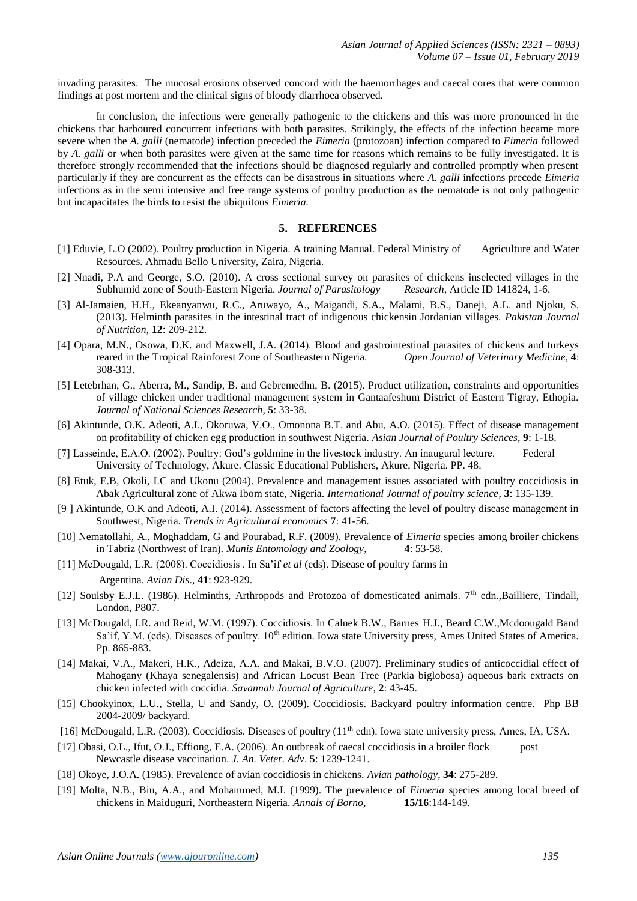invading parasites. The mucosal erosions observed concord with the haemorrhages and caecal cores that were common findings at post mortem and the clinical signs of bloody diarrhoea observed.

In conclusion, the infections were generally pathogenic to the chickens and this was more pronounced in the chickens that harboured concurrent infections with both parasites. Strikingly, the effects of the infection became more severe when the *A. galli* (nematode) infection preceded the *Eimeria* (protozoan) infection compared to *Eimeria* followed by *A. galli* or when both parasites were given at the same time for reasons which remains to be fully investigated**.** It is therefore strongly recommended that the infections should be diagnosed regularly and controlled promptly when present particularly if they are concurrent as the effects can be disastrous in situations where *A. galli* infections precede *Eimeria* infections as in the semi intensive and free range systems of poultry production as the nematode is not only pathogenic but incapacitates the birds to resist the ubiquitous *Eimeria.*

# **5. REFERENCES**

- [1] Eduvie, L.O (2002). Poultry production in Nigeria. A training Manual. Federal Ministry of Agriculture and Water Resources. Ahmadu Bello University, Zaira, Nigeria.
- [2] Nnadi, P.A and George, S.O. (2010). A cross sectional survey on parasites of chickens inselected villages in the Subhumid zone of South-Eastern Nigeria. *Journal of Parasitology Research,* Article ID 141824, 1-6.
- [3] Al-Jamaien, H.H., Ekeanyanwu, R.C., Aruwayo, A., Maigandi, S.A., Malami, B.S., Daneji, A.L. and Njoku, S. (2013). Helminth parasites in the intestinal tract of indigenous chickensin Jordanian villages. *Pakistan Journal of Nutrition*, **12**: 209-212.
- [4] Opara, M.N., Osowa, D.K. and Maxwell, J.A. (2014). Blood and gastrointestinal parasites of chickens and turkeys reared in the Tropical Rainforest Zone of Southeastern Nigeria. *Open Journal of Veterinary Medicine*, **4**: 308-313.
- [5] Letebrhan, G., Aberra, M., Sandip, B. and Gebremedhn, B. (2015). Product utilization, constraints and opportunities of village chicken under traditional management system in Gantaafeshum District of Eastern Tigray, Ethopia. *Journal of National Sciences Research*, **5**: 33-38.
- [6] Akintunde, O.K. Adeoti, A.I., Okoruwa, V.O., Omonona B.T. and Abu, A.O. (2015). Effect of disease management on profitability of chicken egg production in southwest Nigeria. *Asian Journal of Poultry Sciences*, **9**: 1-18.
- [7] Lasseinde, E.A.O. (2002). Poultry: God's goldmine in the livestock industry. An inaugural lecture. Federal University of Technology, Akure. Classic Educational Publishers, Akure, Nigeria. PP. 48.
- [8] Etuk, E.B, Okoli, I.C and Ukonu (2004). Prevalence and management issues associated with poultry coccidiosis in Abak Agricultural zone of Akwa Ibom state, Nigeria. *International Journal of poultry science*, **3**: 135-139.
- [9 ] Akintunde, O.K and Adeoti, A.I. (2014). Assessment of factors affecting the level of poultry disease management in Southwest, Nigeria. *Trends in Agricultural economics* **7**: 41-56.
- [10] Nematollahi, A., Moghaddam, G and Pourabad, R.F. (2009). Prevalence of *Eimeria* species among broiler chickens in Tabriz (Northwest of Iran). *Munis Entomology and Zoology*, **4**: 53-58.
- [11] McDougald, L.R. (2008). Coccidiosis . In Sa'if *et al* (eds). Disease of poultry farms in Argentina. *Avian Dis*., **41**: 923-929.
- [12] Soulsby E.J.L. (1986). Helminths, Arthropods and Protozoa of domesticated animals. 7th edn.,Bailliere, Tindall, London, P807.
- [13] McDougald, I.R. and Reid, W.M. (1997). Coccidiosis. In Calnek B.W., Barnes H.J., Beard C.W., Mcdoougald Band Sa'if, Y.M. (eds). Diseases of poultry. 10<sup>th</sup> edition. Iowa state University press, Ames United States of America. Pp. 865-883.
- [14] Makai, V.A., Makeri, H.K., Adeiza, A.A. and Makai, B.V.O. (2007). Preliminary studies of anticoccidial effect of Mahogany (Khaya senegalensis) and African Locust Bean Tree (Parkia biglobosa) aqueous bark extracts on chicken infected with coccidia. *Savannah Journal of Agriculture*, **2**: 43-45.
- [15] Chookyinox, L.U., Stella, U and Sandy, O. (2009). Coccidiosis. Backyard poultry information centre. Php BB 2004-2009/ backyard.
- [16] McDougald, L.R. (2003). Coccidiosis. Diseases of poultry (11<sup>th</sup> edn). Iowa state university press, Ames, IA, USA.
- [17] Obasi, O.L., Ifut, O.J., Effiong, E.A. (2006). An outbreak of caecal coccidiosis in a broiler flock post Newcastle disease vaccination. *J. An. Veter. Adv*. **5**: 1239-1241.
- [18] Okoye, J.O.A. (1985). Prevalence of avian coccidiosis in chickens. *Avian pathology*, **34**: 275-289.
- [19] Molta, N.B., Biu, A.A., and Mohammed, M.I. (1999). The prevalence of *Eimeria* species among local breed of chickens in Maiduguri, Northeastern Nigeria. *Annals of Borno,* **15/16**:144-149.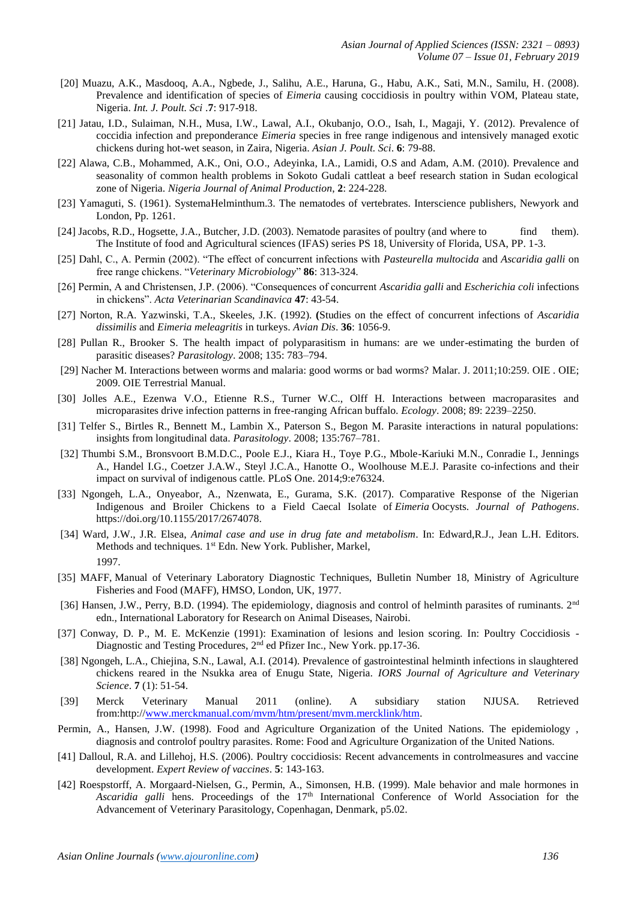- [20] Muazu, A.K., Masdooq, A.A., Ngbede, J., Salihu, A.E., Haruna, G., Habu, A.K., Sati, M.N., Samilu, H. (2008). Prevalence and identification of species of *Eimeria* causing coccidiosis in poultry within VOM, Plateau state, Nigeria. *Int. J. Poult. Sci* .**7**: 917-918.
- [21] Jatau, I.D., Sulaiman, N.H., Musa, I.W., Lawal, A.I., Okubanjo, O.O., Isah, I., Magaji, Y. (2012). Prevalence of coccidia infection and preponderance *Eimeria* species in free range indigenous and intensively managed exotic chickens during hot-wet season, in Zaira, Nigeria. *Asian J. Poult. Sci*. **6**: 79-88.
- [22] Alawa, C.B., Mohammed, A.K., Oni, O.O., Adeyinka, I.A., Lamidi, O.S and Adam, A.M. (2010). Prevalence and seasonality of common health problems in Sokoto Gudali cattleat a beef research station in Sudan ecological zone of Nigeria. *Nigeria Journal of Animal Production*, **2**: 224-228.
- [23] Yamaguti, S. (1961). SystemaHelminthum.3. The nematodes of vertebrates. Interscience publishers, Newyork and London, Pp. 1261.
- [24] Jacobs, R.D., Hogsette, J.A., Butcher, J.D. (2003). Nematode parasites of poultry (and where to find them). The Institute of food and Agricultural sciences (IFAS) series PS 18, University of Florida, USA, PP. 1-3.
- [25] Dahl, C., A. Permin (2002). "The effect of concurrent infections with *Pasteurella multocida* and *Ascaridia galli* on free range chickens. "*Veterinary Microbiology*" **86**: 313-324.
- [26] Permin, A and Christensen, J.P. (2006). "Consequences of concurrent *Ascaridia galli* and *Escherichia coli* infections in chickens". *Acta Veterinarian Scandinavica* **47**: 43-54.
- [27] Norton, R.A. Yazwinski, T.A., Skeeles, J.K. (1992). **(**Studies on the effect of concurrent infections of *Ascaridia dissimilis* and *Eimeria meleagritis* in turkeys. *Avian Dis*. **36**: 1056-9.
- [28] Pullan R., Brooker S. The health impact of polyparasitism in humans: are we under-estimating the burden of parasitic diseases? *Parasitology*. 2008; 135: 783–794.
- [29] Nacher M. Interactions between worms and malaria: good worms or bad worms? Malar. J. 2011;10:259. OIE . OIE; 2009. OIE Terrestrial Manual.
- [30] Jolles A.E., Ezenwa V.O., Etienne R.S., Turner W.C., Olff H. Interactions between macroparasites and microparasites drive infection patterns in free-ranging African buffalo. *Ecology*. 2008; 89: 2239–2250.
- [31] Telfer S., Birtles R., Bennett M., Lambin X., Paterson S., Begon M. Parasite interactions in natural populations: insights from longitudinal data. *Parasitology*. 2008; 135:767–781.
- [32] Thumbi S.M., Bronsvoort B.M.D.C., Poole E.J., Kiara H., Toye P.G., Mbole-Kariuki M.N., Conradie I., Jennings A., Handel I.G., Coetzer J.A.W., Steyl J.C.A., Hanotte O., Woolhouse M.E.J. Parasite co-infections and their impact on survival of indigenous cattle. PLoS One. 2014;9:e76324.
- [33] Ngongeh, L.A., Onyeabor, A., Nzenwata, E., Gurama, S.K. (2017). Comparative Response of the Nigerian Indigenous and Broiler Chickens to a Field Caecal Isolate of *Eimeria* Oocysts. *Journal of Pathogens*. https://doi.org/10.1155/2017/2674078.
- [34] Ward, J.W., J.R. Elsea, *Animal case and use in drug fate and metabolism*. In: Edward,R.J., Jean L.H. Editors. Methods and techniques. 1<sup>st</sup> Edn. New York. Publisher, Markel, 1997.
- [35] MAFF, Manual of Veterinary Laboratory Diagnostic Techniques, Bulletin Number 18, Ministry of Agriculture Fisheries and Food (MAFF), HMSO, London, UK, 1977.
- [36] Hansen, J.W., Perry, B.D. (1994). The epidemiology, diagnosis and control of helminth parasites of ruminants. 2<sup>nd</sup> edn., International Laboratory for Research on Animal Diseases, Nairobi.
- [37] Conway, D. P., M. E. McKenzie (1991): Examination of lesions and lesion scoring. In: Poultry Coccidiosis Diagnostic and Testing Procedures, 2<sup>nd</sup> ed Pfizer Inc., New York. pp.17-36.
- [38] Ngongeh, L.A., Chiejina, S.N., Lawal, A.I. (2014). Prevalence of gastrointestinal helminth infections in slaughtered chickens reared in the Nsukka area of Enugu State, Nigeria. *IORS Journal of Agriculture and Veterinary Science*. **7** (1): 51-54.
- [39] Merck Veterinary Manual 2011 (online). A subsidiary station NJUSA. Retrieved from:http:/[/www.merckmanual.com/mvm/htm/present/mvm.mercklink/htm.](http://www.merckmanual.com/mvm/htm/present/mvm.mercklink/htm)
- Permin, A., Hansen, J.W. (1998). Food and Agriculture Organization of the United Nations. The epidemiology , diagnosis and controlof poultry parasites. Rome: Food and Agriculture Organization of the United Nations.
- [41] Dalloul, R.A. and Lillehoj, H.S. (2006). Poultry coccidiosis: Recent advancements in controlmeasures and vaccine development. *Expert Review of vaccines*. **5**: 143-163.
- [42] Roespstorff, A. Morgaard-Nielsen, G., Permin, A., Simonsen, H.B. (1999). Male behavior and male hormones in Ascaridia galli hens. Proceedings of the 17<sup>th</sup> International Conference of World Association for the Advancement of Veterinary Parasitology, Copenhagan, Denmark, p5.02.